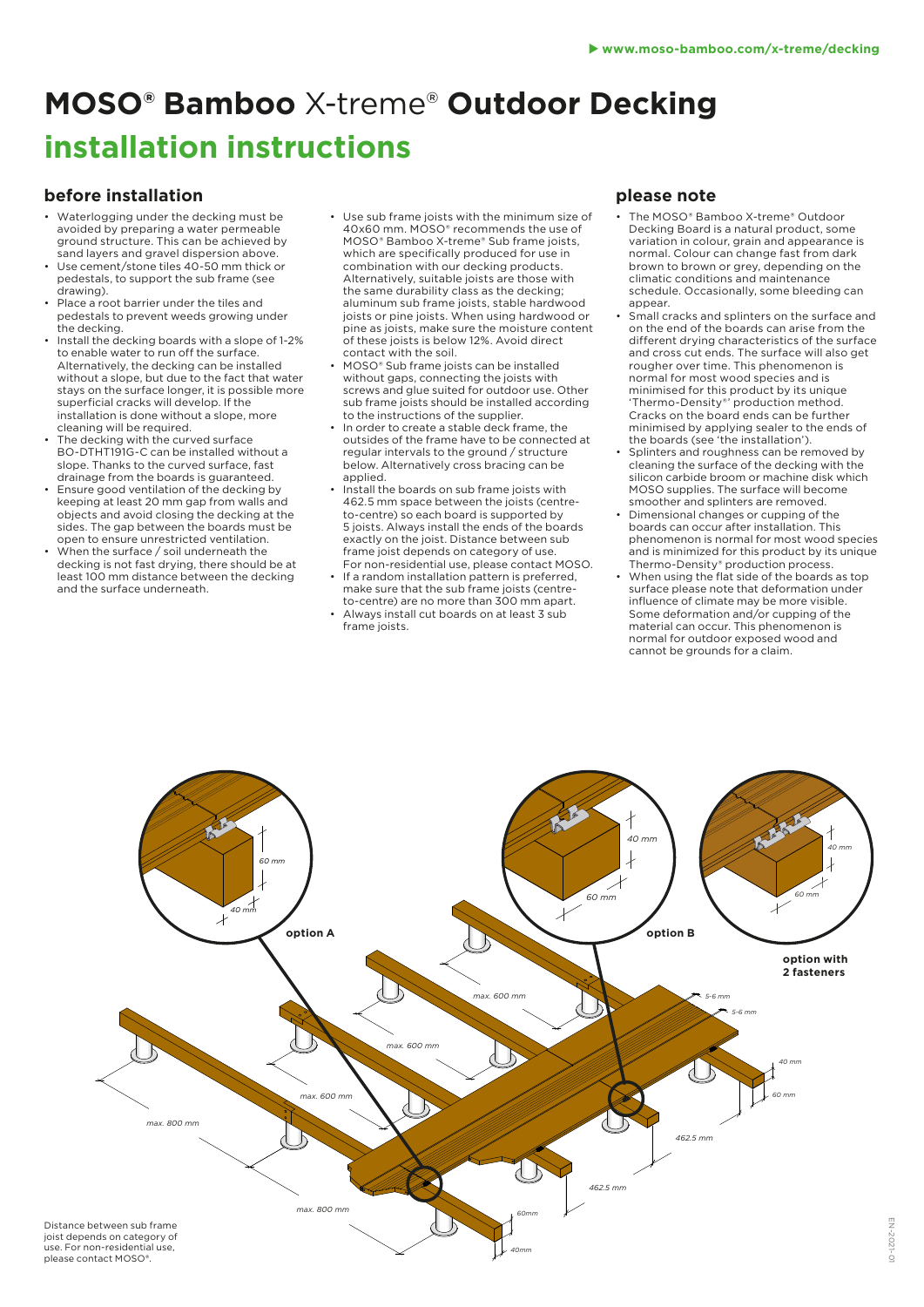# **MOSO® Bamboo** X-treme® **Outdoor Decking installation instructions**

### **before installation**

- Waterlogging under the decking must be avoided by preparing a water permeable ground structure. This can be achieved by sand layers and gravel dispersion above.
- Use cement/stone tiles 40-50 mm thick or pedestals, to support the sub frame (see drawing).
- Place a root barrier under the tiles and pedestals to prevent weeds growing under the decking.
- Install the decking boards with a slope of 1-2% to enable water to run off the surface. Alternatively, the decking can be installed without a slope, but due to the fact that water stays on the surface longer, it is possible more superficial cracks will develop. If the installation is done without a slope, more cleaning will be required.
- The decking with the curved surface BO-DTHT191G-C can be installed without a slope. Thanks to the curved surface, fast drainage from the boards is guaranteed.
- Ensure good ventilation of the decking by keeping at least 20 mm gap from walls and objects and avoid closing the decking at the sides. The gap between the boards must be open to ensure unrestricted ventilation.
- When the surface / soil underneath the decking is not fast drying, there should be at least 100 mm distance between the decking and the surface underneath.
- Use sub frame joists with the minimum size of 40x60 mm. MOSO® recommends the use of MOSO® Bamboo X-treme® Sub frame joists, which are specifically produced for use in combination with our decking products. Alternatively, suitable joists are those with the same durability class as the decking; aluminum sub frame joists, stable hardwood joists or pine joists. When using hardwood or pine as joists, make sure the moisture content of these joists is below 12%. Avoid direct contact with the soil.
- MOSO® Sub frame joists can be installed without gaps, connecting the joists with screws and glue suited for outdoor use. Other sub frame joists should be installed according to the instructions of the supplier.
- In order to create a stable deck frame, the outsides of the frame have to be connected at regular intervals to the ground / structure below. Alternatively cross bracing can be applied.
- Install the boards on sub frame joists with 462.5 mm space between the joists (centreto-centre) so each board is supported by 5 joists. Always install the ends of the boards exactly on the joist. Distance between sub frame joist depends on category of use. For non-residential use, please contact MOSO.
- If a random installation pattern is preferred. make sure that the sub frame joists (centreto-centre) are no more than 300 mm apart.
- Always install cut boards on at least 3 sub frame joists.

### **please note**

- The MOSO® Bamboo X-treme® Outdoor Decking Board is a natural product, some variation in colour, grain and appearance is normal. Colour can change fast from dark brown to brown or grey, depending on the climatic conditions and maintenance schedule. Occasionally, some bleeding can appear.
- Small cracks and splinters on the surface and on the end of the boards can arise from the different drying characteristics of the surface and cross cut ends. The surface will also get rougher over time. This phenomenon is normal for most wood species and is minimised for this product by its unique 'Thermo-Density®' production method. Cracks on the board ends can be further minimised by applying sealer to the ends of the boards (see 'the installation').
- Splinters and roughness can be removed by cleaning the surface of the decking with the silicon carbide broom or machine disk which MOSO supplies. The surface will become smoother and splinters are removed.
- Dimensional changes or cupping of the boards can occur after installation. This phenomenon is normal for most wood species and is minimized for this product by its unique Thermo-Density® production process.
- When using the flat side of the boards as top surface please note that deformation under influence of climate may be more visible. Some deformation and/or cupping of the material can occur. This phenomenon is normal for outdoor exposed wood and cannot be grounds for a claim.

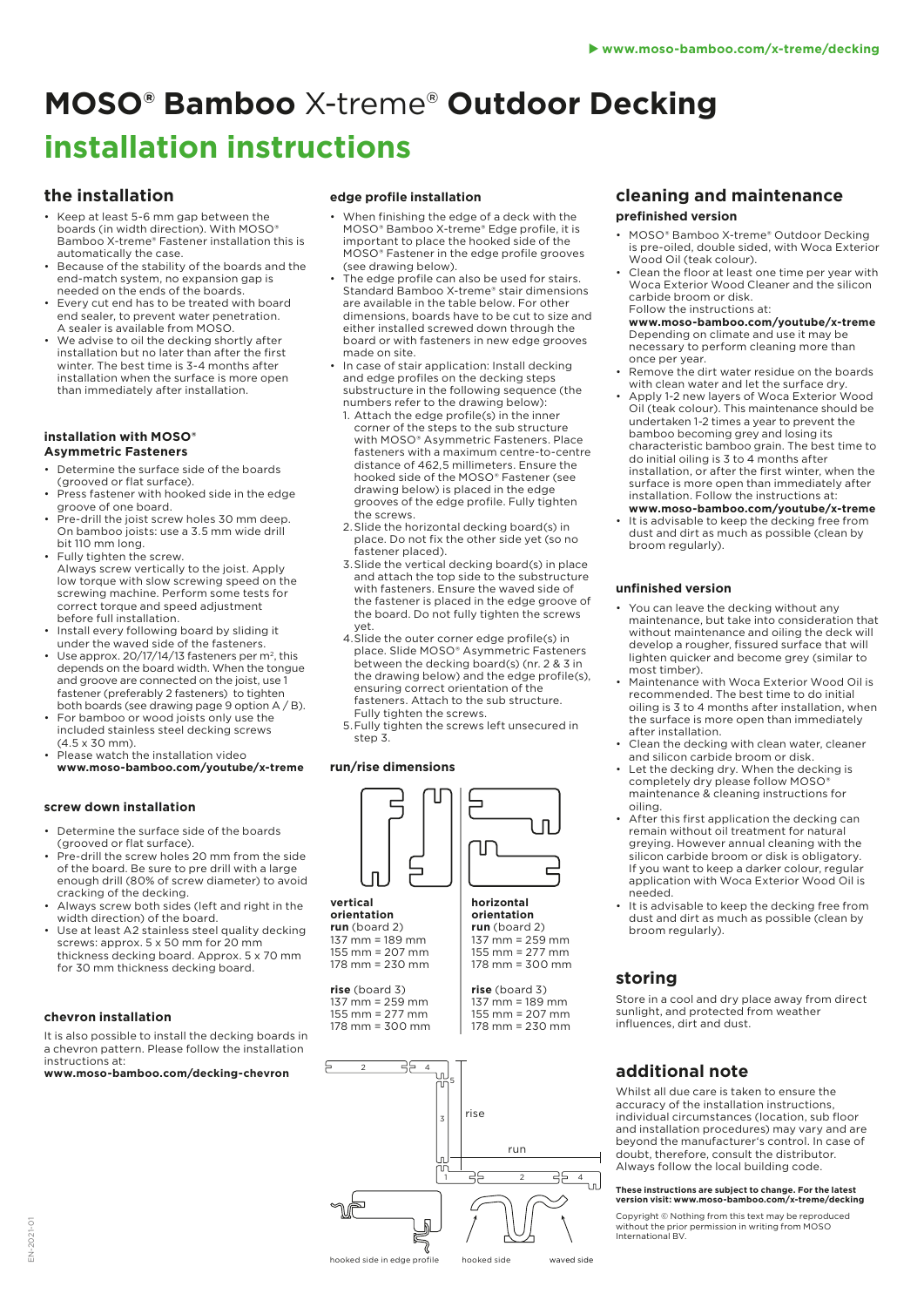# **MOSO® Bamboo** X-treme® **Outdoor Decking installation instructions**

#### **the installation**

- Keep at least 5-6 mm gap between the boards (in width direction). With MOSO® Bamboo X-treme® Fastener installation this is automatically the case.
- **Because of the stability of the boards and the** end-match system, no expansion gap is needed on the ends of the boards.
- Every cut end has to be treated with board end sealer, to prevent water penetration. A sealer is available from MOSO.
- We advise to oil the decking shortly after installation but no later than after the first winter. The best time is 3-4 months after installation when the surface is more open than immediately after installation.

#### **installation with MOSO® Asymmetric Fasteners**

- Determine the surface side of the boards (grooved or flat surface).
- Press fastener with hooked side in the edge groove of one board.
- Pre-drill the joist screw holes 30 mm deep. On bamboo joists: use a 3.5 mm wide drill bit 110 mm long.
- Fully tighten the screw. Always screw vertically to the joist. Apply low torque with slow screwing speed on the screwing machine. Perform some tests for correct torque and speed adjustment before full installation.
- Install every following board by sliding it under the waved side of the fasteners.
- Use approx. 20/17/14/13 fasteners per m<sup>2</sup>, this depends on the board width. When the tongue and groove are connected on the joist, use 1 fastener (preferably 2 fasteners) to tighten both boards (see drawing page 9 option A / B).
- For bamboo or wood joists only use the included stainless steel decking screws (4.5 x 30 mm).
- Please watch the installation video **www.moso-bamboo.com/youtube/x-treme**

#### **screw down installation**

- Determine the surface side of the boards (grooved or flat surface).
- Pre-drill the screw holes 20 mm from the side of the board. Be sure to pre drill with a large enough drill (80% of screw diameter) to avoid cracking of the decking.
- Always screw both sides (left and right in the width direction) of the board.
- Use at least A2 stainless steel quality decking screws: approx. 5 x 50 mm for 20 mm thickness decking board. Approx. 5 x 70 mm for 30 mm thickness decking board.

#### **chevron installation**

It is also possible to install the decking boards in a chevron pattern. Please follow the installation instructions at:

**www.moso-bamboo.com/decking-chevron**

#### **edge profile installation**

- When finishing the edge of a deck with the MOSO® Bamboo X-treme® Edge profile, it is important to place the hooked side of the MOSO® Fastener in the edge profile grooves (see drawing below).
- The edge profile can also be used for stairs. Standard Bamboo X-treme® stair dimensions are available in the table below. For other dimensions, boards have to be cut to size and either installed screwed down through the board or with fasteners in new edge grooves made on site.
- In case of stair application: Install decking and edge profiles on the decking steps substructure in the following sequence (the numbers refer to the drawing below):
	- 1. Attach the edge profile(s) in the inner corner of the steps to the sub structure with MOSO® Asymmetric Fasteners. Place fasteners with a maximum centre-to-centre distance of 462,5 millimeters. Ensure the hooked side of the MOSO® Fastener (see drawing below) is placed in the edge grooves of the edge profile. Fully tighten the screws.
- 2.Slide the horizontal decking board(s) in place. Do not fix the other side yet (so no fastener placed).
- 3.Slide the vertical decking board(s) in place and attach the top side to the substructure with fasteners. Ensure the waved side of the fastener is placed in the edge groove of the board. Do not fully tighten the screws yet.
- 4.Slide the outer corner edge profile(s) in place. Slide MOSO® Asymmetric Fasteners between the decking board(s) (nr. 2 & 3 in the drawing below) and the edge profile(s), ensuring correct orientation of the fasteners. Attach to the sub structure. Fully tighten the screws.
- 5.Fully tighten the screws left unsecured in step 3.

#### **run/rise dimensions**



#### **orientation run** (board 2) 137 mm = 259 mm 155 mm = 277 mm 178 mm = 300 mm

**rise** (board 3) 137 mm = 189 mm 155 mm = 207 mm 178 mm = 230 mm



#### **cleaning and maintenance prefinished version**

- MOSO® Bamboo X-treme® Outdoor Decking is pre-oiled, double sided, with Woca Exterior Wood Oil (teak colour).
- Clean the floor at least one time per year with Woca Exterior Wood Cleaner and the silicon carbide broom or disk. Follow the instructions at:

**www.moso-bamboo.com/youtube/x-treme** Depending on climate and use it may be necessary to perform cleaning more than once per year.

- Remove the dirt water residue on the boards with clean water and let the surface dry.
- Apply 1-2 new layers of Woca Exterior Wood Oil (teak colour). This maintenance should be undertaken 1-2 times a year to prevent the bamboo becoming grey and losing its characteristic bamboo grain. The best time to do initial oiling is 3 to 4 months after installation, or after the first winter, when the surface is more open than immediately after installation. Follow the instructions at: **www.moso-bamboo.com/youtube/x-treme**
- It is advisable to keep the decking free from dust and dirt as much as possible (clean by broom regularly).

#### **unfinished version**

- You can leave the decking without any maintenance, but take into consideration that without maintenance and oiling the deck will develop a rougher, fissured surface that will lighten quicker and become grey (similar to most timber).
- Maintenance with Woca Exterior Wood Oil is recommended. The best time to do initial oiling is 3 to 4 months after installation, when the surface is more open than immediately after installation.
- Clean the decking with clean water, cleaner and silicon carbide broom or disk.
- Let the decking dry. When the decking is completely dry please follow MOSO® maintenance & cleaning instructions for oiling.
- After this first application the decking can remain without oil treatment for natural greying. However annual cleaning with the silicon carbide broom or disk is obligatory. If you want to keep a darker colour, regular application with Woca Exterior Wood Oil is needed.
- It is advisable to keep the decking free from dust and dirt as much as possible (clean by broom regularly).

#### **storing**

Store in a cool and dry place away from direct sunlight, and protected from weather influences, dirt and dust.

# **additional note**

Whilst all due care is taken to ensure the accuracy of the installation instructions, individual circumstances (location, sub floor and installation procedures) may vary and are beyond the manufacturer's control. In case of doubt, therefore, consult the distributor. Always follow the local building code.

#### **These instructions are subject to change. For the latest version visit: www.moso-bamboo.com/x-treme/decking**

Copyright © Nothing from this text may be reproduced without the prior permission in writing from MOSO International BV.

#### EN-2021-01  $-2021$ Ż

hooked side in edge profile hooked side waved side

**vertical orientation run** (board 2)

137 mm = 189 mm 155 mm = 207 mm 178 mm = 230 mm

**rise** (board 3) 137 mm = 259 mm 155 mm = 277 mm 178 mm = 300 mm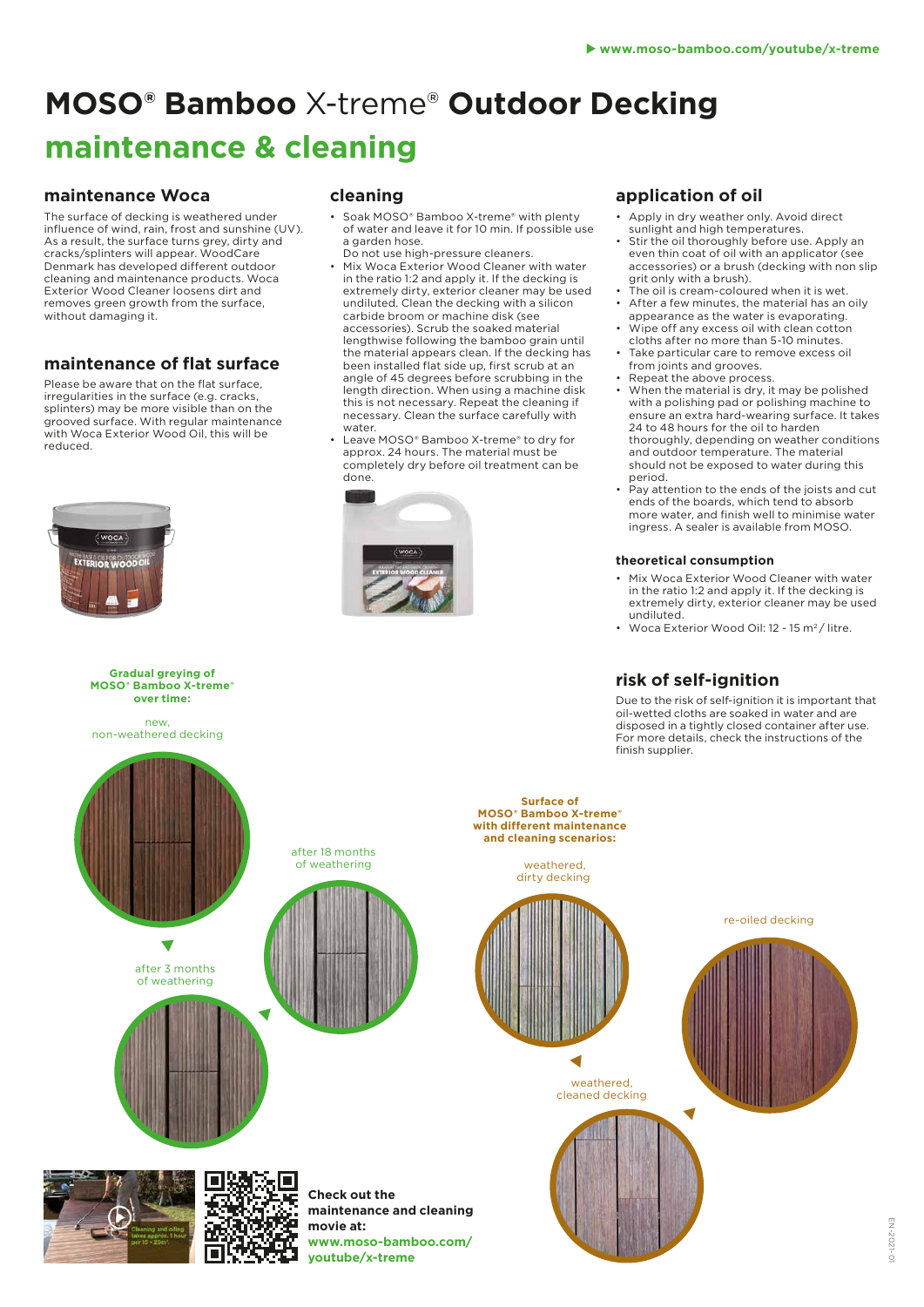# **MOSO® Bamboo** X-treme® **Outdoor Decking maintenance & cleaning**

### **maintenance Woca**

The surface of decking is weathered under influence of wind, rain, frost and sunshine (UV). As a result, the surface turns grey, dirty and cracks/splinters will appear. WoodCare Denmark has developed different outdoor cleaning and maintenance products. Woca Exterior Wood Cleaner loosens dirt and removes green growth from the surface, without damaging it.

# **maintenance of flat surface**

Please be aware that on the flat surface, irregularities in the surface (e.g. cracks, splinters) may be more visible than on the grooved surface. With regular maintenance with Woca Exterior Wood Oil, this will be reduced.



#### **Gradual greying of MOSO® Bamboo X-treme® over time:**

new non-weathered decking

## **cleaning**

- Soak MOSO® Bamboo X-treme® with plenty of water and leave it for 10 min. If possible use a garden hose. Do not use high-pressure cleaners.
- Mix Woca Exterior Wood Cleaner with water in the ratio 1:2 and apply it. If the decking is extremely dirty, exterior cleaner may be used undiluted. Clean the decking with a silicon carbide broom or machine disk (see accessories). Scrub the soaked material lengthwise following the bamboo grain until the material appears clean. If the decking has been installed flat side up, first scrub at an angle of 45 degrees before scrubbing in the length direction. When using a machine disk this is not necessary. Repeat the cleaning if necessary. Clean the surface carefully with water.
- Leave MOSO® Bamboo X-treme® to dry for approx. 24 hours. The material must be completely dry before oil treatment can be done



# **application of oil**

- Apply in dry weather only. Avoid direct sunlight and high temperatures.
- Stir the oil thoroughly before use. Apply an even thin coat of oil with an applicator (see accessories) or a brush (decking with non slip grit only with a brush).
- The oil is cream-coloured when it is wet.
- After a few minutes, the material has an oily appearance as the water is evaporating.
- Wipe off any excess oil with clean cotton cloths after no more than 5-10 minutes.
- Take particular care to remove excess oil from joints and grooves.
- Repeat the above process. • When the material is dry, it may be polished with a polishing pad or polishing machine to ensure an extra hard-wearing surface. It takes 24 to 48 hours for the oil to harden thoroughly, depending on weather conditions and outdoor temperature. The material should not be exposed to water during this period.
- Pay attention to the ends of the joists and cut ends of the boards, which tend to absorb more water, and finish well to minimise water ingress. A sealer is available from MOSO.

#### **theoretical consumption**

- Mix Woca Exterior Wood Cleaner with water in the ratio 1:2 and apply it. If the decking is extremely dirty, exterior cleaner may be used undiluted.
- Woca Exterior Wood Oil: 12 15 m<sup>2</sup>/ litre.

# **risk of self-ignition**

Due to the risk of self-ignition it is important that oil-wetted cloths are soaked in water and are disposed in a tightly closed container after use. For more details, check the instructions of the finish supplier.



**movie at:**

**youtube/x-treme**

**www.moso-bamboo.com/**

**MOSO® Bamboo X-treme® with different maintenance and cleaning scenarios:**

dirty decking



weathered, cleaned decking

◀



re-oiled decking